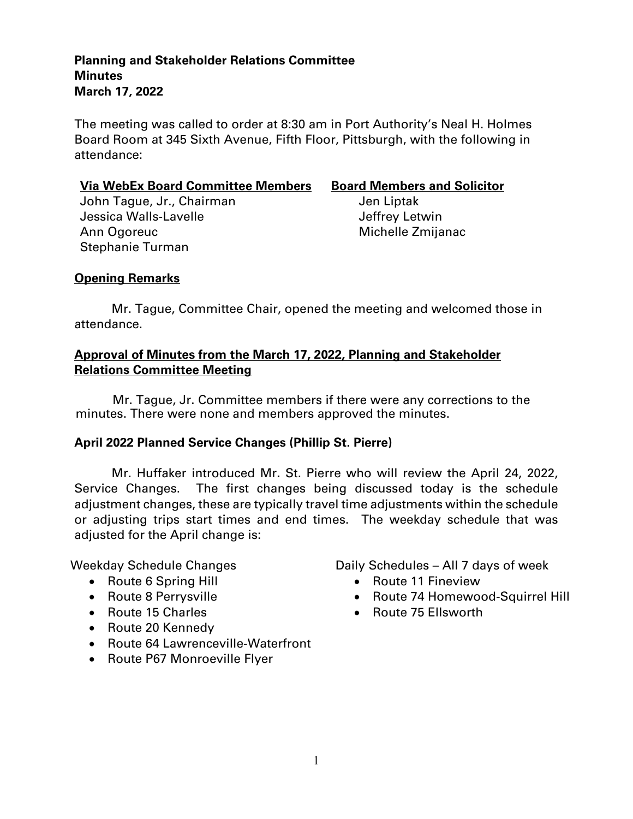#### **Planning and Stakeholder Relations Committee Minutes March 17, 2022**

The meeting was called to order at 8:30 am in Port Authority's Neal H. Holmes Board Room at 345 Sixth Avenue, Fifth Floor, Pittsburgh, with the following in attendance:

#### **Via WebEx Board Committee Members Board Members and Solicitor**

John Tague, Jr., Chairman Jen Liptak Jessica Walls-Lavelle **Jessica Walls-Lavelle** Ann Ogoreuc **Michelle Zmijanac** Stephanie Turman

### **Opening Remarks**

Mr. Tague, Committee Chair, opened the meeting and welcomed those in attendance.

### **Approval of Minutes from the March 17, 2022, Planning and Stakeholder Relations Committee Meeting**

Mr. Tague, Jr. Committee members if there were any corrections to the minutes. There were none and members approved the minutes.

### **April 2022 Planned Service Changes (Phillip St. Pierre)**

Mr. Huffaker introduced Mr**.** St. Pierre who will review the April 24, 2022, Service Changes. The first changes being discussed today is the schedule adjustment changes, these are typically travel time adjustments within the schedule or adjusting trips start times and end times. The weekday schedule that was adjusted for the April change is:

- Route 6 Spring Hill Route 11 Fineview
- 
- 
- Route 20 Kennedy
- Route 64 Lawrenceville-Waterfront
- Route P67 Monroeville Flyer

Weekday Schedule Changes **Daily Schedules – All 7 days of week** 

- 
- Route 8 Perrysville **Communist Parameter 14 Homewood-Squirrel Hill**
- Route 15 Charles **Route 75 Ellsworth**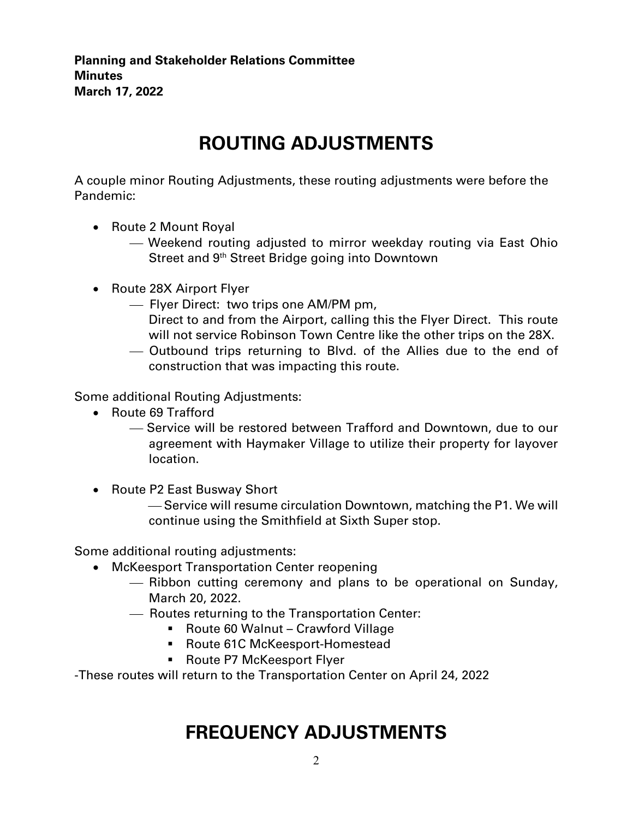**Planning and Stakeholder Relations Committee Minutes March 17, 2022**

# **ROUTING ADJUSTMENTS**

A couple minor Routing Adjustments, these routing adjustments were before the Pandemic:

- Route 2 Mount Royal
	- Weekend routing adjusted to mirror weekday routing via East Ohio Street and 9<sup>th</sup> Street Bridge going into Downtown
- Route 28X Airport Flyer
	- Flyer Direct: two trips one AM/PM pm,
		- Direct to and from the Airport, calling this the Flyer Direct. This route will not service Robinson Town Centre like the other trips on the 28X.
	- Outbound trips returning to Blvd. of the Allies due to the end of construction that was impacting this route.

Some additional Routing Adjustments:

- Route 69 Trafford
	- Service will be restored between Trafford and Downtown, due to our agreement with Haymaker Village to utilize their property for layover location.
- Route P2 East Busway Short
	- Service will resume circulation Downtown, matching the P1. We will continue using the Smithfield at Sixth Super stop.

Some additional routing adjustments:

- McKeesport Transportation Center reopening
	- Ribbon cutting ceremony and plans to be operational on Sunday, March 20, 2022.
	- Routes returning to the Transportation Center:
		- Route 60 Walnut Crawford Village
		- Route 61C McKeesport-Homestead
		- **Route P7 McKeesport Flyer**

-These routes will return to the Transportation Center on April 24, 2022

## **FREQUENCY ADJUSTMENTS**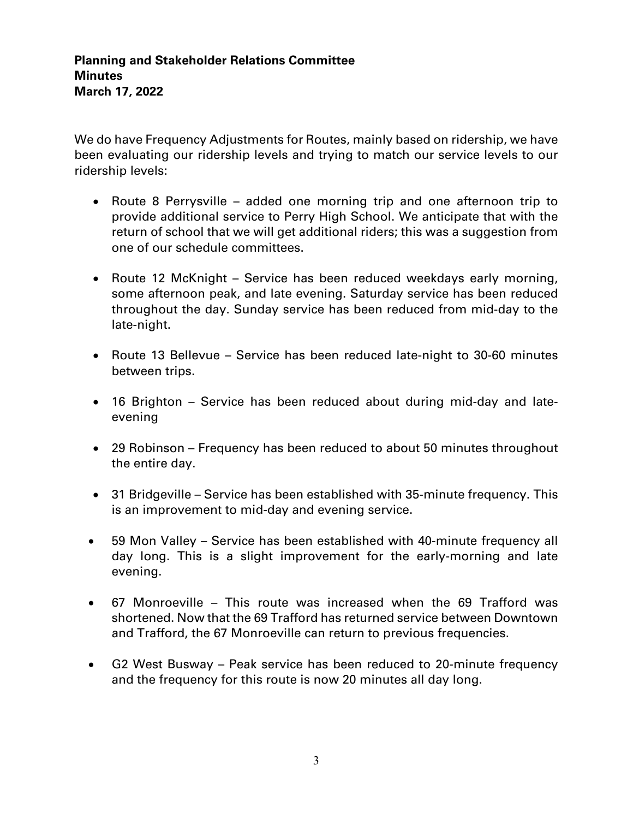We do have Frequency Adjustments for Routes, mainly based on ridership, we have been evaluating our ridership levels and trying to match our service levels to our ridership levels:

- Route 8 Perrysville added one morning trip and one afternoon trip to provide additional service to Perry High School. We anticipate that with the return of school that we will get additional riders; this was a suggestion from one of our schedule committees.
- Route 12 McKnight Service has been reduced weekdays early morning, some afternoon peak, and late evening. Saturday service has been reduced throughout the day. Sunday service has been reduced from mid-day to the late-night.
- Route 13 Bellevue Service has been reduced late-night to 30-60 minutes between trips.
- 16 Brighton Service has been reduced about during mid-day and lateevening
- 29 Robinson Frequency has been reduced to about 50 minutes throughout the entire day.
- 31 Bridgeville Service has been established with 35-minute frequency. This is an improvement to mid-day and evening service.
- 59 Mon Valley Service has been established with 40-minute frequency all day long. This is a slight improvement for the early-morning and late evening.
- 67 Monroeville This route was increased when the 69 Trafford was shortened. Now that the 69 Trafford has returned service between Downtown and Trafford, the 67 Monroeville can return to previous frequencies.
- G2 West Busway Peak service has been reduced to 20-minute frequency and the frequency for this route is now 20 minutes all day long.